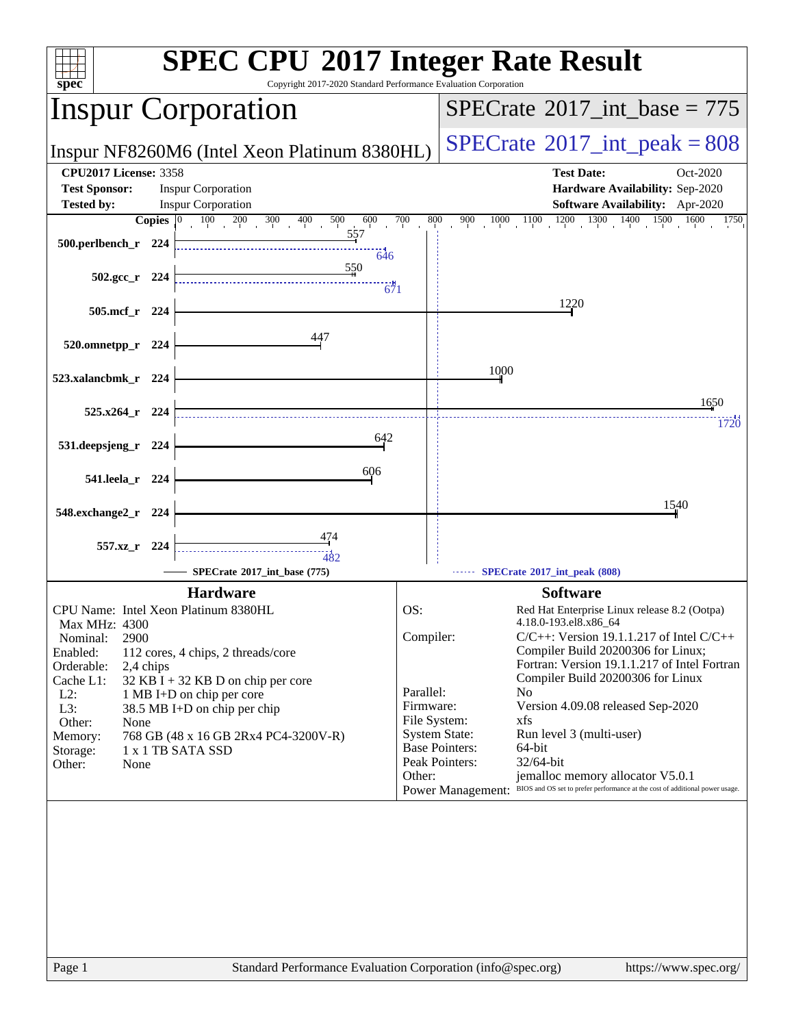| spec <sup>®</sup>                                                                                                                                                                                                              | <b>SPEC CPU®2017 Integer Rate Result</b><br>Copyright 2017-2020 Standard Performance Evaluation Corporation                                                                                        |                                                                      |                                                                                                                                                                                                                                                                                                                                                                                                                                                                                                                                                                                                          |
|--------------------------------------------------------------------------------------------------------------------------------------------------------------------------------------------------------------------------------|----------------------------------------------------------------------------------------------------------------------------------------------------------------------------------------------------|----------------------------------------------------------------------|----------------------------------------------------------------------------------------------------------------------------------------------------------------------------------------------------------------------------------------------------------------------------------------------------------------------------------------------------------------------------------------------------------------------------------------------------------------------------------------------------------------------------------------------------------------------------------------------------------|
| <b>Inspur Corporation</b>                                                                                                                                                                                                      |                                                                                                                                                                                                    |                                                                      | $SPECrate^{\circ}2017\_int\_base = 775$                                                                                                                                                                                                                                                                                                                                                                                                                                                                                                                                                                  |
|                                                                                                                                                                                                                                | Inspur NF8260M6 (Intel Xeon Platinum 8380HL)                                                                                                                                                       |                                                                      | $SPECTate$ <sup>®</sup> 2017_int_peak = 808                                                                                                                                                                                                                                                                                                                                                                                                                                                                                                                                                              |
| <b>CPU2017 License: 3358</b>                                                                                                                                                                                                   |                                                                                                                                                                                                    |                                                                      | <b>Test Date:</b><br>Oct-2020                                                                                                                                                                                                                                                                                                                                                                                                                                                                                                                                                                            |
| <b>Test Sponsor:</b><br><b>Tested by:</b>                                                                                                                                                                                      | <b>Inspur Corporation</b><br><b>Inspur Corporation</b>                                                                                                                                             |                                                                      | Hardware Availability: Sep-2020<br>Software Availability: Apr-2020                                                                                                                                                                                                                                                                                                                                                                                                                                                                                                                                       |
| Copies $ 0\rangle$                                                                                                                                                                                                             | $100 \t 200 \t 300 \t 400 \t 500$<br>600                                                                                                                                                           | 700<br>800                                                           | $1000$ $1100$ $1200$ $1300$ $1400$ $1500$ $1600$<br>900<br>1750                                                                                                                                                                                                                                                                                                                                                                                                                                                                                                                                          |
| 500.perlbench_r 224                                                                                                                                                                                                            | 557<br>$-646$<br>550                                                                                                                                                                               |                                                                      |                                                                                                                                                                                                                                                                                                                                                                                                                                                                                                                                                                                                          |
| $502.\text{gcc r}$ 224                                                                                                                                                                                                         | 671                                                                                                                                                                                                |                                                                      |                                                                                                                                                                                                                                                                                                                                                                                                                                                                                                                                                                                                          |
| 505.mcf r 224                                                                                                                                                                                                                  |                                                                                                                                                                                                    |                                                                      | 1220                                                                                                                                                                                                                                                                                                                                                                                                                                                                                                                                                                                                     |
| 520.omnetpp_r 224                                                                                                                                                                                                              | 447                                                                                                                                                                                                |                                                                      |                                                                                                                                                                                                                                                                                                                                                                                                                                                                                                                                                                                                          |
| 523.xalancbmk_r 224                                                                                                                                                                                                            |                                                                                                                                                                                                    |                                                                      | 1000                                                                                                                                                                                                                                                                                                                                                                                                                                                                                                                                                                                                     |
| 525.x264 r 224                                                                                                                                                                                                                 |                                                                                                                                                                                                    |                                                                      | 1650                                                                                                                                                                                                                                                                                                                                                                                                                                                                                                                                                                                                     |
| 531.deepsjeng_r 224                                                                                                                                                                                                            | 642                                                                                                                                                                                                |                                                                      | 1720                                                                                                                                                                                                                                                                                                                                                                                                                                                                                                                                                                                                     |
| 541.leela_r 224                                                                                                                                                                                                                | 606                                                                                                                                                                                                |                                                                      |                                                                                                                                                                                                                                                                                                                                                                                                                                                                                                                                                                                                          |
| 548.exchange2_r 224                                                                                                                                                                                                            |                                                                                                                                                                                                    |                                                                      | 1540                                                                                                                                                                                                                                                                                                                                                                                                                                                                                                                                                                                                     |
| 557.xz r 224                                                                                                                                                                                                                   |                                                                                                                                                                                                    |                                                                      |                                                                                                                                                                                                                                                                                                                                                                                                                                                                                                                                                                                                          |
|                                                                                                                                                                                                                                | SPECrate*2017_int_base (775)                                                                                                                                                                       |                                                                      | SPECrate®2017_int_peak (808)                                                                                                                                                                                                                                                                                                                                                                                                                                                                                                                                                                             |
| CPU Name: Intel Xeon Platinum 8380HL<br>Max MHz: 4300<br>Nominal:<br>2900<br>Enabled:<br>Orderable:<br>2,4 chips<br>Cache L1:<br>$L2$ :<br>L3:<br>Other:<br>None<br>Memory:<br>1 x 1 TB SATA SSD<br>Storage:<br>Other:<br>None | <b>Hardware</b><br>112 cores, 4 chips, 2 threads/core<br>$32$ KB I + 32 KB D on chip per core<br>1 MB I+D on chip per core<br>38.5 MB I+D on chip per chip<br>768 GB (48 x 16 GB 2Rx4 PC4-3200V-R) | OS:<br>Compiler:<br>Parallel:<br>Firmware:<br>File System:<br>Other: | <b>Software</b><br>Red Hat Enterprise Linux release 8.2 (Ootpa)<br>4.18.0-193.el8.x86_64<br>$C/C++$ : Version 19.1.1.217 of Intel $C/C++$<br>Compiler Build 20200306 for Linux;<br>Fortran: Version 19.1.1.217 of Intel Fortran<br>Compiler Build 20200306 for Linux<br>N <sub>0</sub><br>Version 4.09.08 released Sep-2020<br>xfs<br><b>System State:</b><br>Run level 3 (multi-user)<br><b>Base Pointers:</b><br>64-bit<br>Peak Pointers:<br>32/64-bit<br>jemalloc memory allocator V5.0.1<br>BIOS and OS set to prefer performance at the cost of additional power usage.<br><b>Power Management:</b> |
|                                                                                                                                                                                                                                |                                                                                                                                                                                                    |                                                                      |                                                                                                                                                                                                                                                                                                                                                                                                                                                                                                                                                                                                          |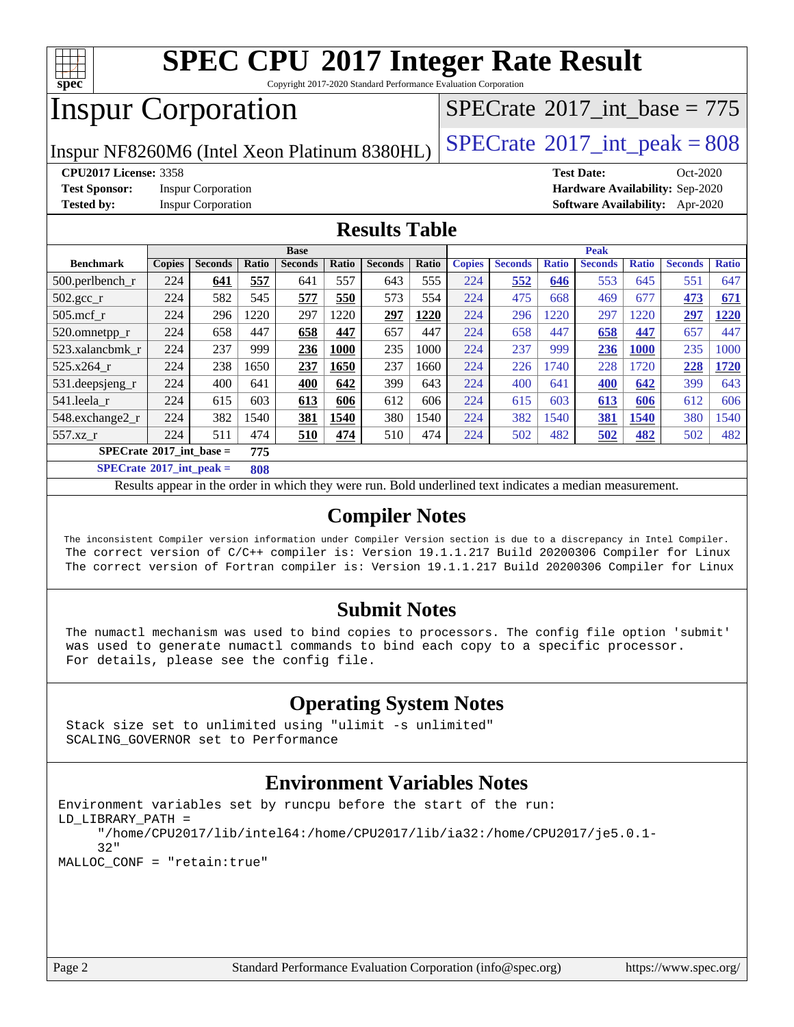

Copyright 2017-2020 Standard Performance Evaluation Corporation

# Inspur Corporation

 $SPECTate$ <sup>®</sup>[2017\\_int\\_base =](http://www.spec.org/auto/cpu2017/Docs/result-fields.html#SPECrate2017intbase) 775

Inspur NF8260M6 (Intel Xeon Platinum 8380HL)  $\left|$  [SPECrate](http://www.spec.org/auto/cpu2017/Docs/result-fields.html#SPECrate2017intpeak)®[2017\\_int\\_peak = 8](http://www.spec.org/auto/cpu2017/Docs/result-fields.html#SPECrate2017intpeak)08

**[CPU2017 License:](http://www.spec.org/auto/cpu2017/Docs/result-fields.html#CPU2017License)** 3358 **[Test Date:](http://www.spec.org/auto/cpu2017/Docs/result-fields.html#TestDate)** Oct-2020

**[Test Sponsor:](http://www.spec.org/auto/cpu2017/Docs/result-fields.html#TestSponsor)** Inspur Corporation **[Hardware Availability:](http://www.spec.org/auto/cpu2017/Docs/result-fields.html#HardwareAvailability)** Sep-2020

**[Tested by:](http://www.spec.org/auto/cpu2017/Docs/result-fields.html#Testedby)** Inspur Corporation **[Software Availability:](http://www.spec.org/auto/cpu2017/Docs/result-fields.html#SoftwareAvailability)** Apr-2020

### **[Results Table](http://www.spec.org/auto/cpu2017/Docs/result-fields.html#ResultsTable)**

| <b>Base</b>                        |               |                |                      |                |       | <b>Peak</b>    |       |               |                |              |                |              |                |              |
|------------------------------------|---------------|----------------|----------------------|----------------|-------|----------------|-------|---------------|----------------|--------------|----------------|--------------|----------------|--------------|
| <b>Benchmark</b>                   | <b>Copies</b> | <b>Seconds</b> | Ratio                | <b>Seconds</b> | Ratio | <b>Seconds</b> | Ratio | <b>Copies</b> | <b>Seconds</b> | <b>Ratio</b> | <b>Seconds</b> | <b>Ratio</b> | <b>Seconds</b> | <b>Ratio</b> |
| $500$ .perlbench r                 | 224           | 641            | 557                  | 641            | 557   | 643            | 555   | 224           | 552            | 646          | 553            | 645          | 551            | 647          |
| $502.\text{gcc}$ <sub>r</sub>      | 224           | 582            | 545                  | 577            | 550   | 573            | 554   | 224           | 475            | 668          | 469            | 677          | 473            | 671          |
| $505$ .mcf r                       | 224           | 296            | 220                  | 297            | 1220  | 297            | 1220  | 224           | 296            | 1220         | 297            | 1220         | 297            | 1220         |
| 520.omnetpp_r                      | 224           | 658            | 447                  | 658            | 447   | 657            | 447   | 224           | 658            | 447          | 658            | 447          | 657            | 447          |
| 523.xalancbmk r                    | 224           | 237            | 999                  | 236            | 1000  | 235            | 1000  | 224           | 237            | 999          | 236            | <b>1000</b>  | 235            | 1000         |
| $525.x264$ r                       | 224           | 238            | 1650                 | 237            | 1650  | 237            | 1660  | 224           | 226            | 740          | 228            | 1720         | 228            | 1720         |
| $531.$ deepsjeng $_r$              | 224           | 400            | 641                  | 400            | 642   | 399            | 643   | 224           | 400            | 641          | 400            | 642          | 399            | 643          |
| 541.leela r                        | 224           | 615            | 603                  | 613            | 606   | 612            | 606   | 224           | 615            | 603          | 613            | 606          | 612            | 606          |
| 548.exchange2_r                    | 224           | 382            | 540                  | 381            | 1540  | 380            | 1540  | 224           | 382            | 1540         | 381            | 1540         | 380            | 1540         |
| 557.xz r                           | 224           | 511            | 474                  | 510            | 474   | 510            | 474   | 224           | 502            | 482          | 502            | <u>482</u>   | 502            | 482          |
| $SPECrate^{\circ}2017$ int base =  |               |                | 775                  |                |       |                |       |               |                |              |                |              |                |              |
| $C \cup C \cup C$ . And $C \cup C$ |               |                | $\sim$ $\sim$ $\sim$ |                |       |                |       |               |                |              |                |              |                |              |

**[SPECrate](http://www.spec.org/auto/cpu2017/Docs/result-fields.html#SPECrate2017intpeak)[2017\\_int\\_peak =](http://www.spec.org/auto/cpu2017/Docs/result-fields.html#SPECrate2017intpeak) 808**

Results appear in the [order in which they were run](http://www.spec.org/auto/cpu2017/Docs/result-fields.html#RunOrder). Bold underlined text [indicates a median measurement](http://www.spec.org/auto/cpu2017/Docs/result-fields.html#Median).

### **[Compiler Notes](http://www.spec.org/auto/cpu2017/Docs/result-fields.html#CompilerNotes)**

 The inconsistent Compiler version information under Compiler Version section is due to a discrepancy in Intel Compiler. The correct version of C/C++ compiler is: Version 19.1.1.217 Build 20200306 Compiler for Linux The correct version of Fortran compiler is: Version 19.1.1.217 Build 20200306 Compiler for Linux

#### **[Submit Notes](http://www.spec.org/auto/cpu2017/Docs/result-fields.html#SubmitNotes)**

 The numactl mechanism was used to bind copies to processors. The config file option 'submit' was used to generate numactl commands to bind each copy to a specific processor. For details, please see the config file.

### **[Operating System Notes](http://www.spec.org/auto/cpu2017/Docs/result-fields.html#OperatingSystemNotes)**

 Stack size set to unlimited using "ulimit -s unlimited" SCALING\_GOVERNOR set to Performance

### **[Environment Variables Notes](http://www.spec.org/auto/cpu2017/Docs/result-fields.html#EnvironmentVariablesNotes)**

```
Environment variables set by runcpu before the start of the run:
LD_LIBRARY_PATH =
      "/home/CPU2017/lib/intel64:/home/CPU2017/lib/ia32:/home/CPU2017/je5.0.1-
      32"
MALLOC_CONF = "retain:true"
```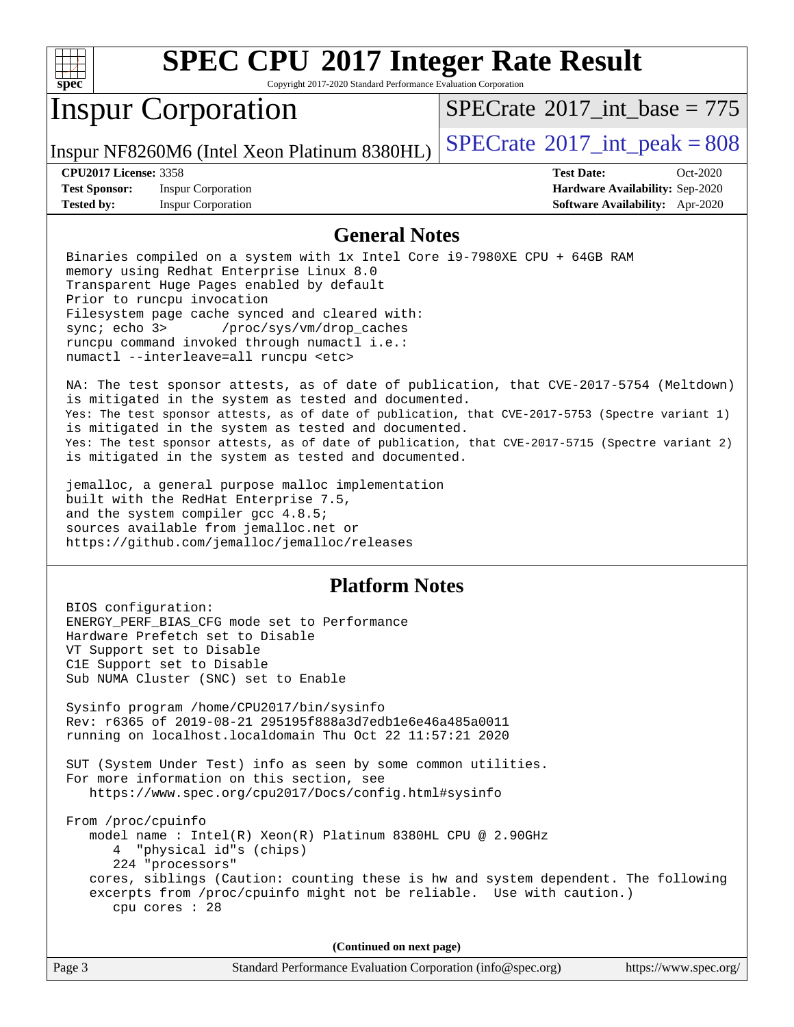

Copyright 2017-2020 Standard Performance Evaluation Corporation

## Inspur Corporation

 $SPECTate$ <sup>®</sup>[2017\\_int\\_base =](http://www.spec.org/auto/cpu2017/Docs/result-fields.html#SPECrate2017intbase) 775

Inspur NF8260M6 (Intel Xeon Platinum 8380HL)  $\left|$  [SPECrate](http://www.spec.org/auto/cpu2017/Docs/result-fields.html#SPECrate2017intpeak)<sup>®</sup>[2017\\_int\\_peak = 8](http://www.spec.org/auto/cpu2017/Docs/result-fields.html#SPECrate2017intpeak)08

**[Test Sponsor:](http://www.spec.org/auto/cpu2017/Docs/result-fields.html#TestSponsor)** Inspur Corporation **[Hardware Availability:](http://www.spec.org/auto/cpu2017/Docs/result-fields.html#HardwareAvailability)** Sep-2020 **[Tested by:](http://www.spec.org/auto/cpu2017/Docs/result-fields.html#Testedby)** Inspur Corporation **[Software Availability:](http://www.spec.org/auto/cpu2017/Docs/result-fields.html#SoftwareAvailability)** Apr-2020

**[CPU2017 License:](http://www.spec.org/auto/cpu2017/Docs/result-fields.html#CPU2017License)** 3358 **[Test Date:](http://www.spec.org/auto/cpu2017/Docs/result-fields.html#TestDate)** Oct-2020

### **[General Notes](http://www.spec.org/auto/cpu2017/Docs/result-fields.html#GeneralNotes)**

 Binaries compiled on a system with 1x Intel Core i9-7980XE CPU + 64GB RAM memory using Redhat Enterprise Linux 8.0 Transparent Huge Pages enabled by default Prior to runcpu invocation Filesystem page cache synced and cleared with: sync; echo 3> /proc/sys/vm/drop\_caches runcpu command invoked through numactl i.e.: numactl --interleave=all runcpu <etc>

 NA: The test sponsor attests, as of date of publication, that CVE-2017-5754 (Meltdown) is mitigated in the system as tested and documented. Yes: The test sponsor attests, as of date of publication, that CVE-2017-5753 (Spectre variant 1) is mitigated in the system as tested and documented. Yes: The test sponsor attests, as of date of publication, that CVE-2017-5715 (Spectre variant 2) is mitigated in the system as tested and documented.

 jemalloc, a general purpose malloc implementation built with the RedHat Enterprise 7.5, and the system compiler gcc 4.8.5; sources available from jemalloc.net or <https://github.com/jemalloc/jemalloc/releases>

#### **[Platform Notes](http://www.spec.org/auto/cpu2017/Docs/result-fields.html#PlatformNotes)**

 BIOS configuration: ENERGY\_PERF\_BIAS\_CFG mode set to Performance Hardware Prefetch set to Disable VT Support set to Disable C1E Support set to Disable Sub NUMA Cluster (SNC) set to Enable Sysinfo program /home/CPU2017/bin/sysinfo Rev: r6365 of 2019-08-21 295195f888a3d7edb1e6e46a485a0011 running on localhost.localdomain Thu Oct 22 11:57:21 2020 SUT (System Under Test) info as seen by some common utilities. For more information on this section, see <https://www.spec.org/cpu2017/Docs/config.html#sysinfo> From /proc/cpuinfo model name : Intel(R) Xeon(R) Platinum 8380HL CPU @ 2.90GHz 4 "physical id"s (chips) 224 "processors" cores, siblings (Caution: counting these is hw and system dependent. The following excerpts from /proc/cpuinfo might not be reliable. Use with caution.) cpu cores : 28

**(Continued on next page)**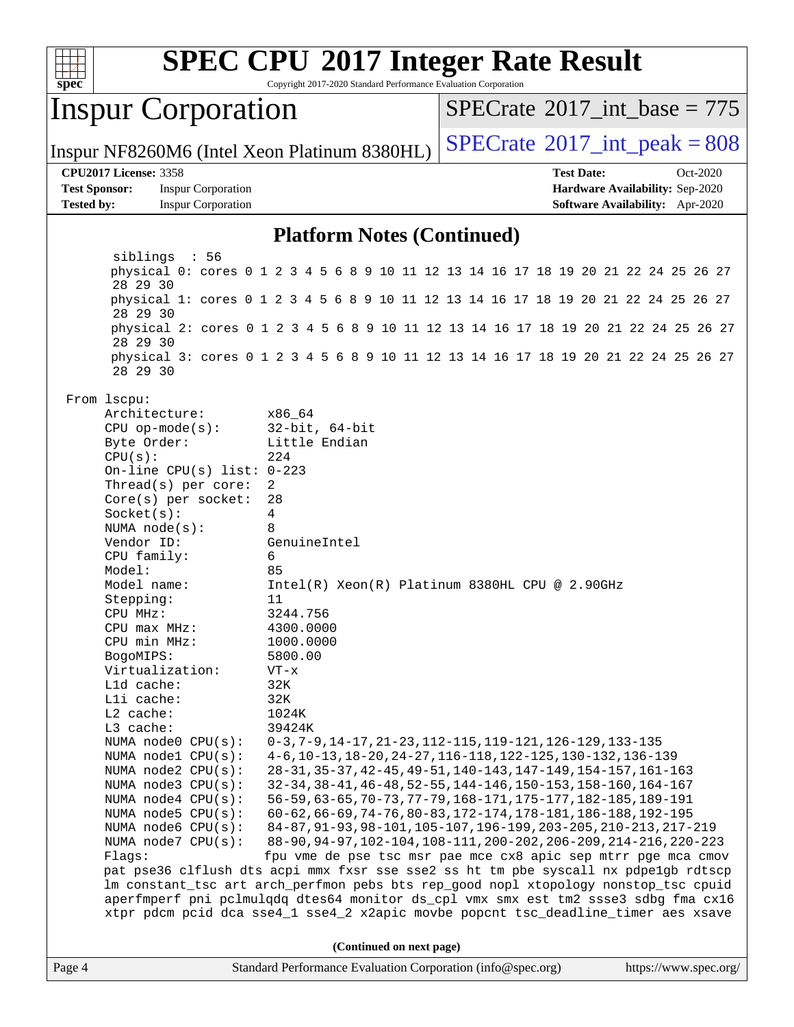

Copyright 2017-2020 Standard Performance Evaluation Corporation

### Inspur Corporation

 $SPECTate$ <sup>®</sup>[2017\\_int\\_base =](http://www.spec.org/auto/cpu2017/Docs/result-fields.html#SPECrate2017intbase) 775

Inspur NF8260M6 (Intel Xeon Platinum 8380HL)  $\left|$  [SPECrate](http://www.spec.org/auto/cpu2017/Docs/result-fields.html#SPECrate2017intpeak)<sup>®</sup>[2017\\_int\\_peak = 8](http://www.spec.org/auto/cpu2017/Docs/result-fields.html#SPECrate2017intpeak)08

#### **[CPU2017 License:](http://www.spec.org/auto/cpu2017/Docs/result-fields.html#CPU2017License)** 3358 **[Test Date:](http://www.spec.org/auto/cpu2017/Docs/result-fields.html#TestDate)** Oct-2020

**[Test Sponsor:](http://www.spec.org/auto/cpu2017/Docs/result-fields.html#TestSponsor)** Inspur Corporation **[Hardware Availability:](http://www.spec.org/auto/cpu2017/Docs/result-fields.html#HardwareAvailability)** Sep-2020 **[Tested by:](http://www.spec.org/auto/cpu2017/Docs/result-fields.html#Testedby)** Inspur Corporation **[Software Availability:](http://www.spec.org/auto/cpu2017/Docs/result-fields.html#SoftwareAvailability)** Apr-2020

#### **[Platform Notes \(Continued\)](http://www.spec.org/auto/cpu2017/Docs/result-fields.html#PlatformNotes)**

 siblings : 56 physical 0: cores 0 1 2 3 4 5 6 8 9 10 11 12 13 14 16 17 18 19 20 21 22 24 25 26 27 28 29 30 physical 1: cores 0 1 2 3 4 5 6 8 9 10 11 12 13 14 16 17 18 19 20 21 22 24 25 26 27 28 29 30 physical 2: cores 0 1 2 3 4 5 6 8 9 10 11 12 13 14 16 17 18 19 20 21 22 24 25 26 27 28 29 30 physical 3: cores 0 1 2 3 4 5 6 8 9 10 11 12 13 14 16 17 18 19 20 21 22 24 25 26 27 28 29 30 From lscpu: Architecture: x86\_64 CPU op-mode(s): 32-bit, 64-bit Byte Order: Little Endian CPU(s): 224 On-line CPU(s) list: 0-223 Thread(s) per core: 2 Core(s) per socket: 28 Socket(s): 4 NUMA node(s): 8 Vendor ID: GenuineIntel CPU family: 6 Model: 85 Model name: Intel(R) Xeon(R) Platinum 8380HL CPU @ 2.90GHz Stepping: 11 CPU MHz: 3244.756 CPU max MHz: 4300.0000 CPU min MHz: 1000.0000 BogoMIPS: 5800.00 Virtualization: VT-x L1d cache: 32K L1i cache: 32K L2 cache: 1024K L3 cache: 39424K NUMA node0 CPU(s): 0-3,7-9,14-17,21-23,112-115,119-121,126-129,133-135 NUMA node1 CPU(s): 4-6,10-13,18-20,24-27,116-118,122-125,130-132,136-139 NUMA node2 CPU(s): 28-31,35-37,42-45,49-51,140-143,147-149,154-157,161-163 NUMA node3 CPU(s): 32-34,38-41,46-48,52-55,144-146,150-153,158-160,164-167 NUMA node4 CPU(s): 56-59,63-65,70-73,77-79,168-171,175-177,182-185,189-191 NUMA node5 CPU(s): 60-62,66-69,74-76,80-83,172-174,178-181,186-188,192-195 NUMA node6 CPU(s): 84-87,91-93,98-101,105-107,196-199,203-205,210-213,217-219 NUMA node7 CPU(s): 88-90,94-97,102-104,108-111,200-202,206-209,214-216,220-223 Flags: fpu vme de pse tsc msr pae mce cx8 apic sep mtrr pge mca cmov pat pse36 clflush dts acpi mmx fxsr sse sse2 ss ht tm pbe syscall nx pdpe1gb rdtscp lm constant\_tsc art arch\_perfmon pebs bts rep\_good nopl xtopology nonstop\_tsc cpuid aperfmperf pni pclmulqdq dtes64 monitor ds\_cpl vmx smx est tm2 ssse3 sdbg fma cx16 xtpr pdcm pcid dca sse4\_1 sse4\_2 x2apic movbe popcnt tsc\_deadline\_timer aes xsave **(Continued on next page)**

|  | Page 4 | Standard Performance Evaluation Corporation (info@spec.org) | https |
|--|--------|-------------------------------------------------------------|-------|
|--|--------|-------------------------------------------------------------|-------|

://www.spec.org/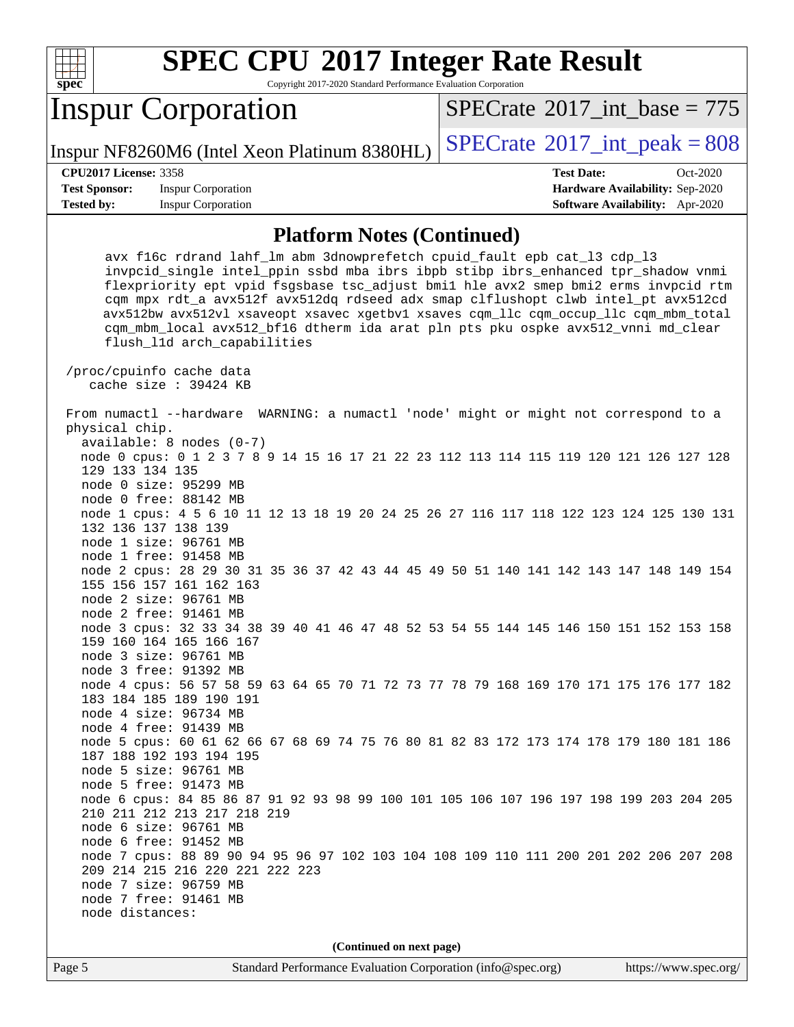

Copyright 2017-2020 Standard Performance Evaluation Corporation

## Inspur Corporation

 $SPECTate$ <sup>®</sup>[2017\\_int\\_base =](http://www.spec.org/auto/cpu2017/Docs/result-fields.html#SPECrate2017intbase) 775

Inspur NF8260M6 (Intel Xeon Platinum 8380HL)  $\left|$  [SPECrate](http://www.spec.org/auto/cpu2017/Docs/result-fields.html#SPECrate2017intpeak)<sup>®</sup>[2017\\_int\\_peak = 8](http://www.spec.org/auto/cpu2017/Docs/result-fields.html#SPECrate2017intpeak)08

**[Test Sponsor:](http://www.spec.org/auto/cpu2017/Docs/result-fields.html#TestSponsor)** Inspur Corporation **[Hardware Availability:](http://www.spec.org/auto/cpu2017/Docs/result-fields.html#HardwareAvailability)** Sep-2020

**[CPU2017 License:](http://www.spec.org/auto/cpu2017/Docs/result-fields.html#CPU2017License)** 3358 **[Test Date:](http://www.spec.org/auto/cpu2017/Docs/result-fields.html#TestDate)** Oct-2020 **[Tested by:](http://www.spec.org/auto/cpu2017/Docs/result-fields.html#Testedby)** Inspur Corporation **[Software Availability:](http://www.spec.org/auto/cpu2017/Docs/result-fields.html#SoftwareAvailability)** Apr-2020

#### **[Platform Notes \(Continued\)](http://www.spec.org/auto/cpu2017/Docs/result-fields.html#PlatformNotes)**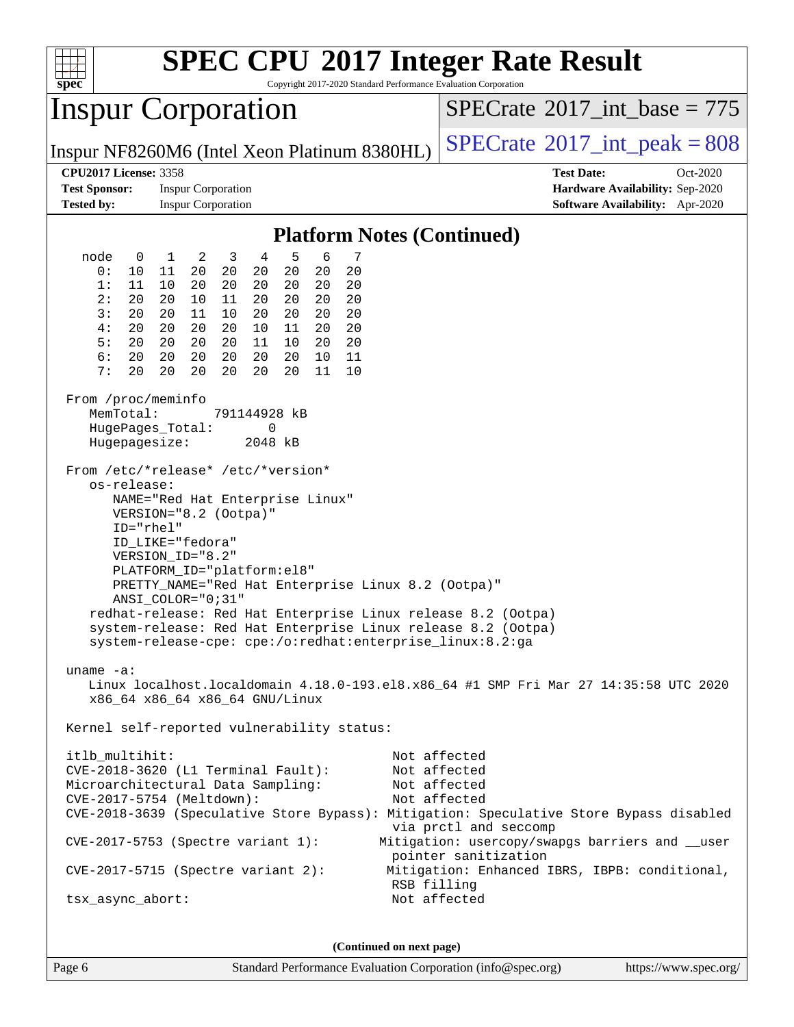| $spec^*$                                                                                                                                                                                                                   |                                                                                                                                                                                                                                                                                                                    |                                                                                                                                                                                        | Copyright 2017-2020 Standard Performance Evaluation Corporation                                                 | <b>SPEC CPU®2017 Integer Rate Result</b>                                                                                                                                                                                                                    |
|----------------------------------------------------------------------------------------------------------------------------------------------------------------------------------------------------------------------------|--------------------------------------------------------------------------------------------------------------------------------------------------------------------------------------------------------------------------------------------------------------------------------------------------------------------|----------------------------------------------------------------------------------------------------------------------------------------------------------------------------------------|-----------------------------------------------------------------------------------------------------------------|-------------------------------------------------------------------------------------------------------------------------------------------------------------------------------------------------------------------------------------------------------------|
| <b>Inspur Corporation</b>                                                                                                                                                                                                  |                                                                                                                                                                                                                                                                                                                    |                                                                                                                                                                                        |                                                                                                                 | $SPECrate^{\circ}2017\_int\_base = 775$                                                                                                                                                                                                                     |
|                                                                                                                                                                                                                            |                                                                                                                                                                                                                                                                                                                    |                                                                                                                                                                                        | Inspur NF8260M6 (Intel Xeon Platinum 8380HL)                                                                    | $SPECTate$ <sup>®</sup> 2017_int_peak = 808                                                                                                                                                                                                                 |
| <b>CPU2017 License: 3358</b><br><b>Test Sponsor:</b><br><b>Tested by:</b>                                                                                                                                                  | <b>Inspur Corporation</b><br><b>Inspur Corporation</b>                                                                                                                                                                                                                                                             |                                                                                                                                                                                        |                                                                                                                 | <b>Test Date:</b><br>Oct-2020<br>Hardware Availability: Sep-2020<br><b>Software Availability:</b> Apr-2020                                                                                                                                                  |
|                                                                                                                                                                                                                            |                                                                                                                                                                                                                                                                                                                    |                                                                                                                                                                                        | <b>Platform Notes (Continued)</b>                                                                               |                                                                                                                                                                                                                                                             |
| node<br>$\mathbf 0$<br>0 :<br>10<br>1:<br>11<br>2:<br>20<br>3:<br>20<br>4 :<br>20<br>5:<br>20<br>6:<br>20<br>7 :<br>20<br>From /proc/meminfo<br>MemTotal:<br>HugePages_Total:<br>Hugepagesize:<br>os-release:<br>ID="rhel" | 2<br>$\overline{3}$<br>1<br>11<br>20<br>20<br>10<br>20<br>20<br>20<br>11<br>10<br>20<br>11<br>10<br>20<br>20<br>20<br>20<br>20<br>20<br>20<br>20<br>20<br>20<br>20<br>20<br>From /etc/*release* /etc/*version*<br>NAME="Red Hat Enterprise Linux"<br>VERSION="8.2 (Ootpa)"<br>ID_LIKE="fedora"<br>VERSION ID="8.2" | 5<br>4<br>20<br>20<br>20<br>20<br>20<br>20<br>20<br>20<br>20<br>20<br>20<br>20<br>10<br>11<br>20<br>11<br>10<br>20<br>20<br>20<br>10<br>20<br>20<br>11<br>791144928 kB<br>0<br>2048 kB | 6<br>7<br>20<br>20<br>20<br>20<br>20<br>20<br>11<br>10                                                          |                                                                                                                                                                                                                                                             |
|                                                                                                                                                                                                                            | PLATFORM_ID="platform:el8"<br>$ANSI\_COLOR = "0; 31"$                                                                                                                                                                                                                                                              |                                                                                                                                                                                        | PRETTY_NAME="Red Hat Enterprise Linux 8.2 (Ootpa)"<br>system-release-cpe: cpe:/o:redhat:enterprise_linux:8.2:ga | redhat-release: Red Hat Enterprise Linux release 8.2 (Ootpa)<br>system-release: Red Hat Enterprise Linux release 8.2 (Ootpa)                                                                                                                                |
| uname $-a$ :                                                                                                                                                                                                               | x86_64 x86_64 x86_64 GNU/Linux                                                                                                                                                                                                                                                                                     |                                                                                                                                                                                        |                                                                                                                 | Linux localhost.localdomain 4.18.0-193.el8.x86_64 #1 SMP Fri Mar 27 14:35:58 UTC 2020                                                                                                                                                                       |
| Kernel self-reported vulnerability status:<br>itlb_multihit:<br>Microarchitectural Data Sampling:                                                                                                                          | CVE-2018-3620 (L1 Terminal Fault):<br>CVE-2017-5754 (Meltdown):<br>CVE-2017-5753 (Spectre variant 1):                                                                                                                                                                                                              |                                                                                                                                                                                        |                                                                                                                 | Not affected<br>Not affected<br>Not affected<br>Not affected<br>CVE-2018-3639 (Speculative Store Bypass): Mitigation: Speculative Store Bypass disabled<br>via prctl and seccomp<br>Mitigation: usercopy/swapgs barriers and __user<br>pointer sanitization |
| $CVE-2017-5715$ (Spectre variant 2):<br>tsx_async_abort:                                                                                                                                                                   |                                                                                                                                                                                                                                                                                                                    |                                                                                                                                                                                        |                                                                                                                 | Mitigation: Enhanced IBRS, IBPB: conditional,<br>RSB filling<br>Not affected                                                                                                                                                                                |
|                                                                                                                                                                                                                            |                                                                                                                                                                                                                                                                                                                    |                                                                                                                                                                                        | (Continued on next page)                                                                                        |                                                                                                                                                                                                                                                             |

Page 6 Standard Performance Evaluation Corporation [\(info@spec.org\)](mailto:info@spec.org) <https://www.spec.org/>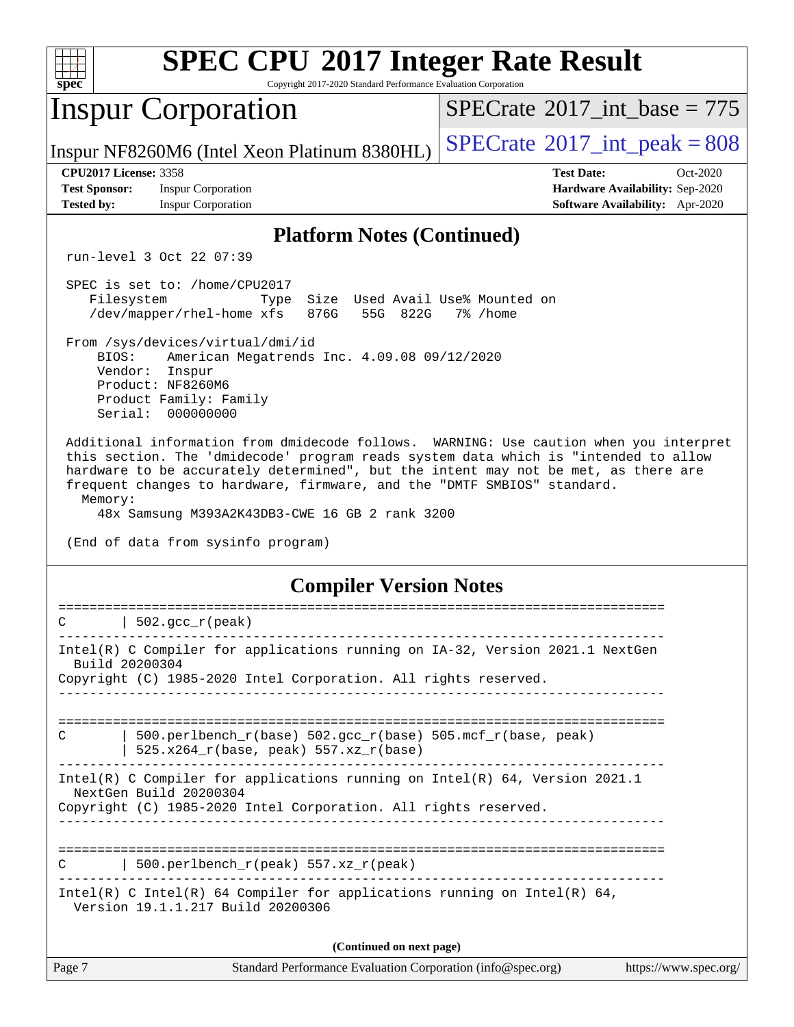| spec <sup>®</sup>                                                         | <b>SPEC CPU®2017 Integer Rate Result</b><br>Copyright 2017-2020 Standard Performance Evaluation Corporation                                                                                                                                                                                                                                  |                                                                                                     |
|---------------------------------------------------------------------------|----------------------------------------------------------------------------------------------------------------------------------------------------------------------------------------------------------------------------------------------------------------------------------------------------------------------------------------------|-----------------------------------------------------------------------------------------------------|
|                                                                           | <b>Inspur Corporation</b>                                                                                                                                                                                                                                                                                                                    | $SPECrate^{\circledast}2017$ int base = 775                                                         |
|                                                                           | Inspur NF8260M6 (Intel Xeon Platinum 8380HL)                                                                                                                                                                                                                                                                                                 | $SPECTate$ <sup>®</sup> 2017_int_peak = 808                                                         |
| <b>CPU2017 License: 3358</b><br><b>Test Sponsor:</b><br><b>Tested by:</b> | <b>Inspur Corporation</b><br><b>Inspur Corporation</b>                                                                                                                                                                                                                                                                                       | <b>Test Date:</b><br>Oct-2020<br>Hardware Availability: Sep-2020<br>Software Availability: Apr-2020 |
|                                                                           | <b>Platform Notes (Continued)</b>                                                                                                                                                                                                                                                                                                            |                                                                                                     |
|                                                                           | run-level 3 Oct 22 07:39                                                                                                                                                                                                                                                                                                                     |                                                                                                     |
| Filesystem                                                                | SPEC is set to: /home/CPU2017<br>Size<br>Type<br>/dev/mapper/rhel-home xfs<br>876G<br>55G<br>822G                                                                                                                                                                                                                                            | Used Avail Use% Mounted on<br>7% /home                                                              |
| BIOS:<br>Vendor:                                                          | From /sys/devices/virtual/dmi/id<br>American Megatrends Inc. 4.09.08 09/12/2020<br>Inspur<br>Product: NF8260M6<br>Product Family: Family<br>Serial: 000000000                                                                                                                                                                                |                                                                                                     |
| Memory:                                                                   | this section. The 'dmidecode' program reads system data which is "intended to allow<br>hardware to be accurately determined", but the intent may not be met, as there are<br>frequent changes to hardware, firmware, and the "DMTF SMBIOS" standard.<br>48x Samsung M393A2K43DB3-CWE 16 GB 2 rank 3200<br>(End of data from sysinfo program) | Additional information from dmidecode follows. WARNING: Use caution when you interpret              |
|                                                                           | <b>Compiler Version Notes</b>                                                                                                                                                                                                                                                                                                                |                                                                                                     |
| C                                                                         | $502.$ gcc_r(peak)                                                                                                                                                                                                                                                                                                                           |                                                                                                     |
| Build 20200304                                                            | Intel(R) C Compiler for applications running on IA-32, Version 2021.1 NextGen<br>Copyright (C) 1985-2020 Intel Corporation. All rights reserved.                                                                                                                                                                                             |                                                                                                     |
|                                                                           |                                                                                                                                                                                                                                                                                                                                              |                                                                                                     |
| C                                                                         | $500. perlbench_r(base) 502. gcc_r(base) 505.mcf_r(base, peak)$<br>$525.x264_r(base, peak) 557.xz_r(base)$                                                                                                                                                                                                                                   |                                                                                                     |
|                                                                           | Intel(R) C Compiler for applications running on Intel(R) $64$ , Version 2021.1<br>NextGen Build 20200304                                                                                                                                                                                                                                     |                                                                                                     |
|                                                                           | Copyright (C) 1985-2020 Intel Corporation. All rights reserved.                                                                                                                                                                                                                                                                              |                                                                                                     |
| C                                                                         | $500.perlbench_r(peak) 557. xz_r(peak)$                                                                                                                                                                                                                                                                                                      |                                                                                                     |
|                                                                           | Intel(R) C Intel(R) 64 Compiler for applications running on Intel(R) 64,<br>Version 19.1.1.217 Build 20200306                                                                                                                                                                                                                                |                                                                                                     |
|                                                                           |                                                                                                                                                                                                                                                                                                                                              |                                                                                                     |

**(Continued on next page)**

| $\vert$ Page 7 | Standard Performance Evaluation Corporation (info@spec.org) | https://www.spec.org/ |
|----------------|-------------------------------------------------------------|-----------------------|
|----------------|-------------------------------------------------------------|-----------------------|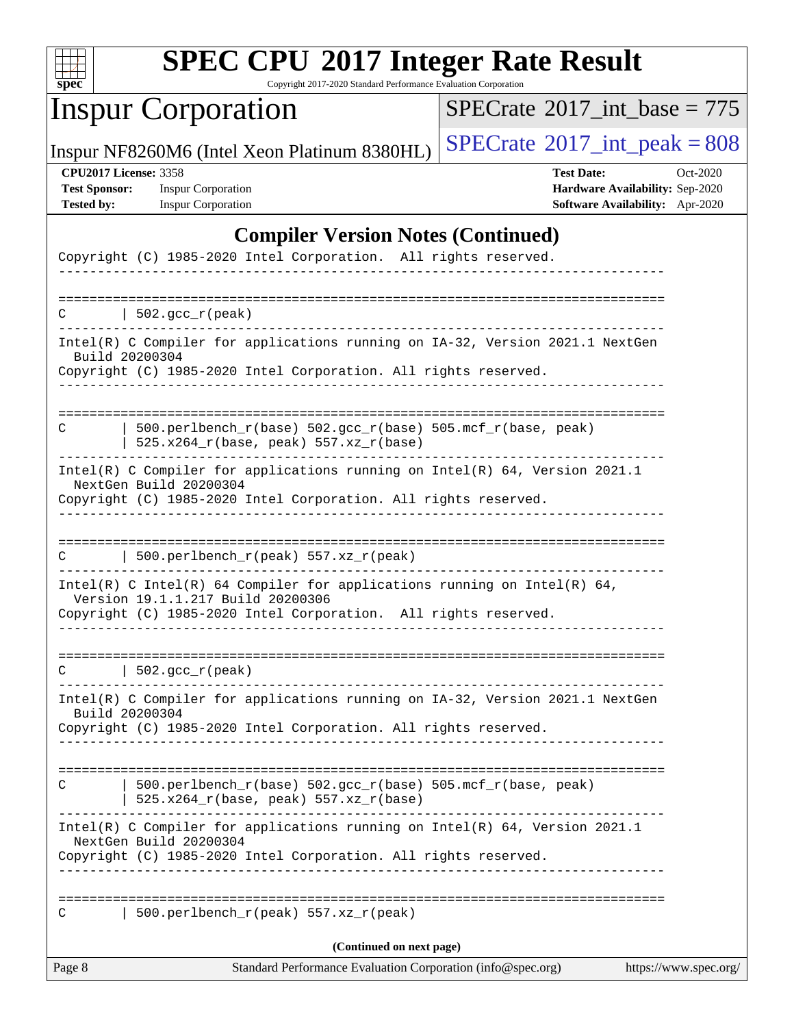

Copyright 2017-2020 Standard Performance Evaluation Corporation

# Inspur Corporation

 $SPECrate$ <sup>®</sup>[2017\\_int\\_base =](http://www.spec.org/auto/cpu2017/Docs/result-fields.html#SPECrate2017intbase) 775

Inspur NF8260M6 (Intel Xeon Platinum 8380HL)  $\left|$  [SPECrate](http://www.spec.org/auto/cpu2017/Docs/result-fields.html#SPECrate2017intpeak)<sup>®</sup>[2017\\_int\\_peak = 8](http://www.spec.org/auto/cpu2017/Docs/result-fields.html#SPECrate2017intpeak)08

**[Test Sponsor:](http://www.spec.org/auto/cpu2017/Docs/result-fields.html#TestSponsor)** Inspur Corporation **[Hardware Availability:](http://www.spec.org/auto/cpu2017/Docs/result-fields.html#HardwareAvailability)** Sep-2020

**[CPU2017 License:](http://www.spec.org/auto/cpu2017/Docs/result-fields.html#CPU2017License)** 3358 **[Test Date:](http://www.spec.org/auto/cpu2017/Docs/result-fields.html#TestDate)** Oct-2020 **[Tested by:](http://www.spec.org/auto/cpu2017/Docs/result-fields.html#Testedby)** Inspur Corporation **[Software Availability:](http://www.spec.org/auto/cpu2017/Docs/result-fields.html#SoftwareAvailability)** Apr-2020

### **[Compiler Version Notes \(Continued\)](http://www.spec.org/auto/cpu2017/Docs/result-fields.html#CompilerVersionNotes)**

| Page 8 | (Continued on next page)<br>Standard Performance Evaluation Corporation (info@spec.org)                                                                                                                                   | https://www.spec.org/ |
|--------|---------------------------------------------------------------------------------------------------------------------------------------------------------------------------------------------------------------------------|-----------------------|
| C      | 500.perlbench_r(peak) 557.xz_r(peak)                                                                                                                                                                                      |                       |
|        | Intel(R) C Compiler for applications running on Intel(R) 64, Version 2021.1<br>NextGen Build 20200304<br>Copyright (C) 1985-2020 Intel Corporation. All rights reserved.<br>_________________________<br>---------------- |                       |
| C      | 500.perlbench_r(base) 502.gcc_r(base) 505.mcf_r(base, peak)<br>$525.x264_r(base, peak) 557.xz_r(base)$                                                                                                                    |                       |
|        | Intel(R) C Compiler for applications running on IA-32, Version 2021.1 NextGen<br>Build 20200304<br>Copyright (C) 1985-2020 Intel Corporation. All rights reserved.<br>_____________                                       |                       |
|        | $C \qquad   \quad 502 \text{.} \text{gcc\_r} \text{ (peak)}$                                                                                                                                                              |                       |
|        | Intel(R) C Intel(R) 64 Compiler for applications running on Intel(R) 64,<br>Version 19.1.1.217 Build 20200306<br>Copyright (C) 1985-2020 Intel Corporation. All rights reserved.<br><u> Liberaldo Liberaldo Lib</u>       |                       |
| C      | $500.perlbench_r(peak) 557. xz_r(peak)$                                                                                                                                                                                   |                       |
|        | NextGen Build 20200304<br>Copyright (C) 1985-2020 Intel Corporation. All rights reserved.                                                                                                                                 |                       |
| C      | $500. perlbench_r(base) 502. gcc_r(base) 505.mcf_r(base, peak)$<br>$525.x264_r(base, peak) 557.xz_r(base)$<br>Intel(R) C Compiler for applications running on $Intel(R) 64$ , Version 2021.1                              |                       |
|        | Intel(R) C Compiler for applications running on IA-32, Version 2021.1 NextGen<br>Build 20200304<br>Copyright (C) 1985-2020 Intel Corporation. All rights reserved.                                                        |                       |
|        | $C$   502.gcc_r(peak)                                                                                                                                                                                                     |                       |
|        |                                                                                                                                                                                                                           |                       |
|        | Copyright (C) 1985-2020 Intel Corporation. All rights reserved.                                                                                                                                                           |                       |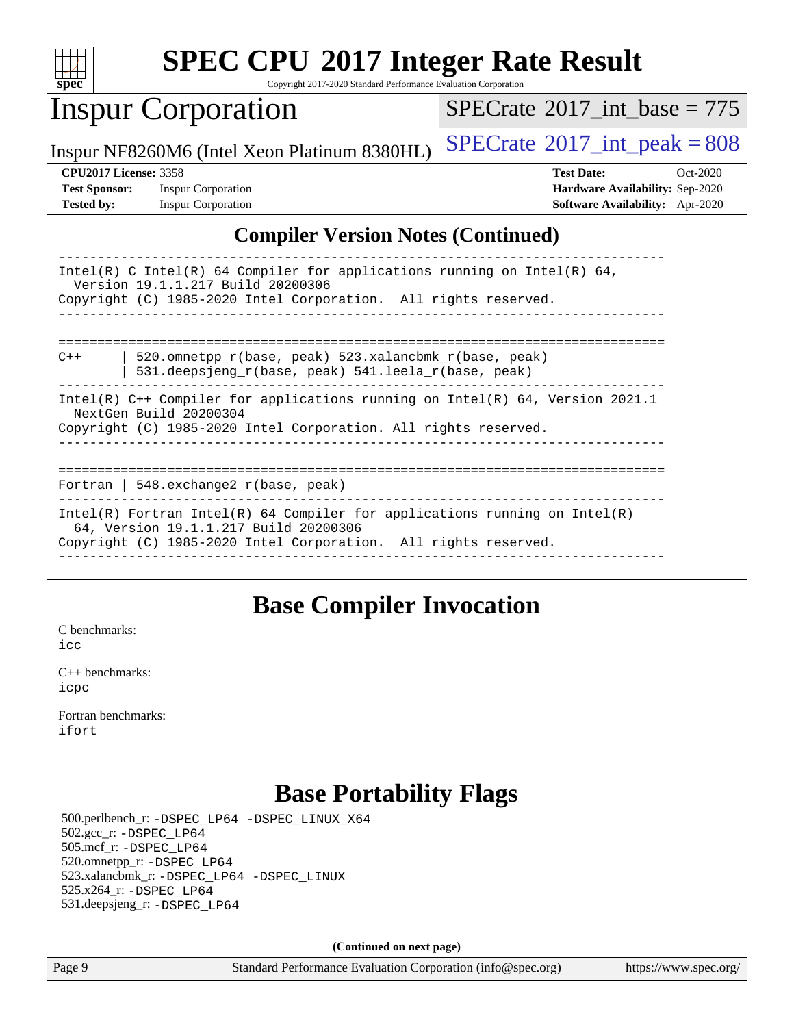

Copyright 2017-2020 Standard Performance Evaluation Corporation

## Inspur Corporation

 $SPECTate$ <sup>®</sup>[2017\\_int\\_base =](http://www.spec.org/auto/cpu2017/Docs/result-fields.html#SPECrate2017intbase) 775

Inspur NF8260M6 (Intel Xeon Platinum 8380HL)  $\left|$  [SPECrate](http://www.spec.org/auto/cpu2017/Docs/result-fields.html#SPECrate2017intpeak)<sup>®</sup>[2017\\_int\\_peak = 8](http://www.spec.org/auto/cpu2017/Docs/result-fields.html#SPECrate2017intpeak)08

**[Tested by:](http://www.spec.org/auto/cpu2017/Docs/result-fields.html#Testedby)** Inspur Corporation **[Software Availability:](http://www.spec.org/auto/cpu2017/Docs/result-fields.html#SoftwareAvailability)** Apr-2020

**[CPU2017 License:](http://www.spec.org/auto/cpu2017/Docs/result-fields.html#CPU2017License)** 3358 **[Test Date:](http://www.spec.org/auto/cpu2017/Docs/result-fields.html#TestDate)** Oct-2020 **[Test Sponsor:](http://www.spec.org/auto/cpu2017/Docs/result-fields.html#TestSponsor)** Inspur Corporation **[Hardware Availability:](http://www.spec.org/auto/cpu2017/Docs/result-fields.html#HardwareAvailability)** Sep-2020

### **[Compiler Version Notes \(Continued\)](http://www.spec.org/auto/cpu2017/Docs/result-fields.html#CompilerVersionNotes)**

| Intel(R) C Intel(R) 64 Compiler for applications running on Intel(R) 64,<br>Version 19.1.1.217 Build 20200306<br>Copyright (C) 1985-2020 Intel Corporation. All rights reserved. |
|----------------------------------------------------------------------------------------------------------------------------------------------------------------------------------|
|                                                                                                                                                                                  |
| 520.omnetpp r(base, peak) 523.xalancbmk r(base, peak)<br>$C++$<br>531.deepsjeng_r(base, peak) 541.leela_r(base, peak)                                                            |
| Intel(R) $C++$ Compiler for applications running on Intel(R) 64, Version 2021.1                                                                                                  |
| NextGen Build 20200304                                                                                                                                                           |
| Copyright (C) 1985-2020 Intel Corporation. All rights reserved.                                                                                                                  |
|                                                                                                                                                                                  |
|                                                                                                                                                                                  |
|                                                                                                                                                                                  |
| Fortran   548. exchange2 $r(base, peak)$                                                                                                                                         |
| Intel(R) Fortran Intel(R) 64 Compiler for applications running on Intel(R)                                                                                                       |
| 64, Version 19.1.1.217 Build 20200306                                                                                                                                            |
| Copyright (C) 1985-2020 Intel Corporation. All rights reserved.                                                                                                                  |
|                                                                                                                                                                                  |

### **[Base Compiler Invocation](http://www.spec.org/auto/cpu2017/Docs/result-fields.html#BaseCompilerInvocation)**

[C benchmarks](http://www.spec.org/auto/cpu2017/Docs/result-fields.html#Cbenchmarks):

[icc](http://www.spec.org/cpu2017/results/res2020q4/cpu2017-20201027-24317.flags.html#user_CCbase_intel_icc_66fc1ee009f7361af1fbd72ca7dcefbb700085f36577c54f309893dd4ec40d12360134090235512931783d35fd58c0460139e722d5067c5574d8eaf2b3e37e92)

[C++ benchmarks:](http://www.spec.org/auto/cpu2017/Docs/result-fields.html#CXXbenchmarks) [icpc](http://www.spec.org/cpu2017/results/res2020q4/cpu2017-20201027-24317.flags.html#user_CXXbase_intel_icpc_c510b6838c7f56d33e37e94d029a35b4a7bccf4766a728ee175e80a419847e808290a9b78be685c44ab727ea267ec2f070ec5dc83b407c0218cded6866a35d07)

[Fortran benchmarks](http://www.spec.org/auto/cpu2017/Docs/result-fields.html#Fortranbenchmarks): [ifort](http://www.spec.org/cpu2017/results/res2020q4/cpu2017-20201027-24317.flags.html#user_FCbase_intel_ifort_8111460550e3ca792625aed983ce982f94888b8b503583aa7ba2b8303487b4d8a21a13e7191a45c5fd58ff318f48f9492884d4413fa793fd88dd292cad7027ca)

### **[Base Portability Flags](http://www.spec.org/auto/cpu2017/Docs/result-fields.html#BasePortabilityFlags)**

 500.perlbench\_r: [-DSPEC\\_LP64](http://www.spec.org/cpu2017/results/res2020q4/cpu2017-20201027-24317.flags.html#b500.perlbench_r_basePORTABILITY_DSPEC_LP64) [-DSPEC\\_LINUX\\_X64](http://www.spec.org/cpu2017/results/res2020q4/cpu2017-20201027-24317.flags.html#b500.perlbench_r_baseCPORTABILITY_DSPEC_LINUX_X64) 502.gcc\_r: [-DSPEC\\_LP64](http://www.spec.org/cpu2017/results/res2020q4/cpu2017-20201027-24317.flags.html#suite_basePORTABILITY502_gcc_r_DSPEC_LP64) 505.mcf\_r: [-DSPEC\\_LP64](http://www.spec.org/cpu2017/results/res2020q4/cpu2017-20201027-24317.flags.html#suite_basePORTABILITY505_mcf_r_DSPEC_LP64) 520.omnetpp\_r: [-DSPEC\\_LP64](http://www.spec.org/cpu2017/results/res2020q4/cpu2017-20201027-24317.flags.html#suite_basePORTABILITY520_omnetpp_r_DSPEC_LP64) 523.xalancbmk\_r: [-DSPEC\\_LP64](http://www.spec.org/cpu2017/results/res2020q4/cpu2017-20201027-24317.flags.html#suite_basePORTABILITY523_xalancbmk_r_DSPEC_LP64) [-DSPEC\\_LINUX](http://www.spec.org/cpu2017/results/res2020q4/cpu2017-20201027-24317.flags.html#b523.xalancbmk_r_baseCXXPORTABILITY_DSPEC_LINUX) 525.x264\_r: [-DSPEC\\_LP64](http://www.spec.org/cpu2017/results/res2020q4/cpu2017-20201027-24317.flags.html#suite_basePORTABILITY525_x264_r_DSPEC_LP64) 531.deepsjeng\_r: [-DSPEC\\_LP64](http://www.spec.org/cpu2017/results/res2020q4/cpu2017-20201027-24317.flags.html#suite_basePORTABILITY531_deepsjeng_r_DSPEC_LP64)

**(Continued on next page)**

Page 9 Standard Performance Evaluation Corporation [\(info@spec.org\)](mailto:info@spec.org) <https://www.spec.org/>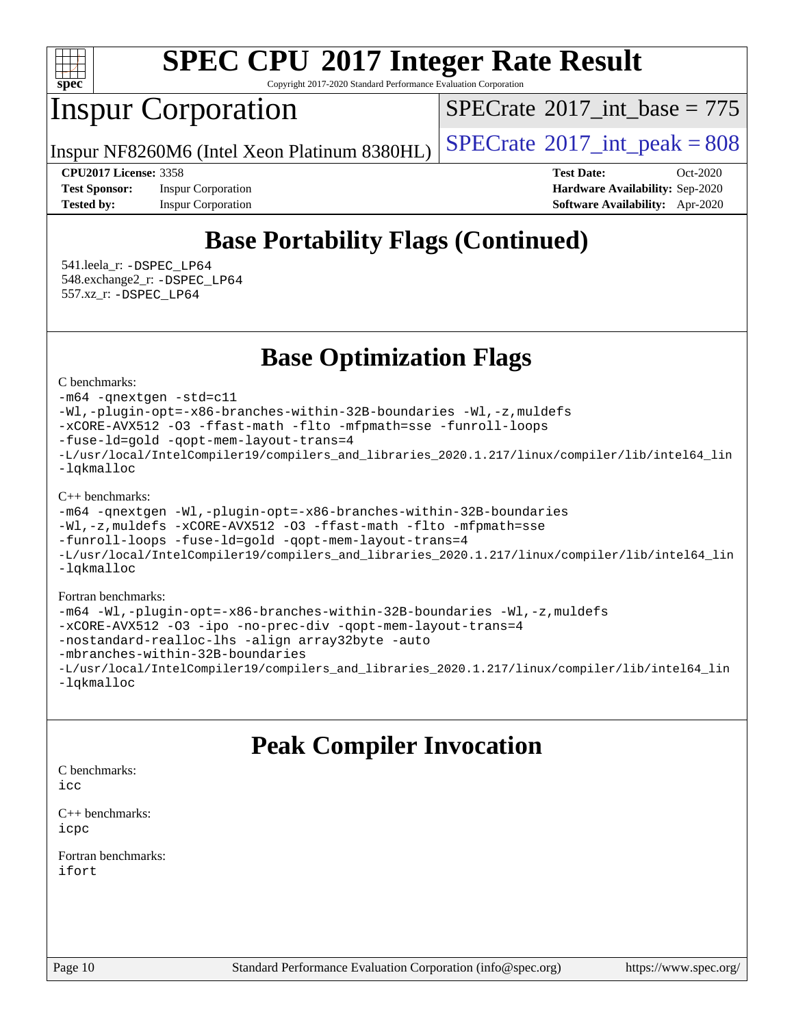

Copyright 2017-2020 Standard Performance Evaluation Corporation

## Inspur Corporation

 $SPECTate$ <sup>®</sup>[2017\\_int\\_base =](http://www.spec.org/auto/cpu2017/Docs/result-fields.html#SPECrate2017intbase) 775

Inspur NF8260M6 (Intel Xeon Platinum 8380HL)  $\left|$  [SPECrate](http://www.spec.org/auto/cpu2017/Docs/result-fields.html#SPECrate2017intpeak)<sup>®</sup>[2017\\_int\\_peak = 8](http://www.spec.org/auto/cpu2017/Docs/result-fields.html#SPECrate2017intpeak)08

**[Test Sponsor:](http://www.spec.org/auto/cpu2017/Docs/result-fields.html#TestSponsor)** Inspur Corporation **[Hardware Availability:](http://www.spec.org/auto/cpu2017/Docs/result-fields.html#HardwareAvailability)** Sep-2020 **[Tested by:](http://www.spec.org/auto/cpu2017/Docs/result-fields.html#Testedby)** Inspur Corporation **[Software Availability:](http://www.spec.org/auto/cpu2017/Docs/result-fields.html#SoftwareAvailability)** Apr-2020

**[CPU2017 License:](http://www.spec.org/auto/cpu2017/Docs/result-fields.html#CPU2017License)** 3358 **[Test Date:](http://www.spec.org/auto/cpu2017/Docs/result-fields.html#TestDate)** Oct-2020

# **[Base Portability Flags \(Continued\)](http://www.spec.org/auto/cpu2017/Docs/result-fields.html#BasePortabilityFlags)**

 541.leela\_r: [-DSPEC\\_LP64](http://www.spec.org/cpu2017/results/res2020q4/cpu2017-20201027-24317.flags.html#suite_basePORTABILITY541_leela_r_DSPEC_LP64) 548.exchange2\_r: [-DSPEC\\_LP64](http://www.spec.org/cpu2017/results/res2020q4/cpu2017-20201027-24317.flags.html#suite_basePORTABILITY548_exchange2_r_DSPEC_LP64) 557.xz\_r: [-DSPEC\\_LP64](http://www.spec.org/cpu2017/results/res2020q4/cpu2017-20201027-24317.flags.html#suite_basePORTABILITY557_xz_r_DSPEC_LP64)

**[Base Optimization Flags](http://www.spec.org/auto/cpu2017/Docs/result-fields.html#BaseOptimizationFlags)**

[C benchmarks](http://www.spec.org/auto/cpu2017/Docs/result-fields.html#Cbenchmarks):

[-m64](http://www.spec.org/cpu2017/results/res2020q4/cpu2017-20201027-24317.flags.html#user_CCbase_m64-icc) [-qnextgen](http://www.spec.org/cpu2017/results/res2020q4/cpu2017-20201027-24317.flags.html#user_CCbase_f-qnextgen) [-std=c11](http://www.spec.org/cpu2017/results/res2020q4/cpu2017-20201027-24317.flags.html#user_CCbase_std-icc-std_0e1c27790398a4642dfca32ffe6c27b5796f9c2d2676156f2e42c9c44eaad0c049b1cdb667a270c34d979996257aeb8fc440bfb01818dbc9357bd9d174cb8524) [-Wl,-plugin-opt=-x86-branches-within-32B-boundaries](http://www.spec.org/cpu2017/results/res2020q4/cpu2017-20201027-24317.flags.html#user_CCbase_f-x86-branches-within-32B-boundaries_0098b4e4317ae60947b7b728078a624952a08ac37a3c797dfb4ffeb399e0c61a9dd0f2f44ce917e9361fb9076ccb15e7824594512dd315205382d84209e912f3) [-Wl,-z,muldefs](http://www.spec.org/cpu2017/results/res2020q4/cpu2017-20201027-24317.flags.html#user_CCbase_link_force_multiple1_b4cbdb97b34bdee9ceefcfe54f4c8ea74255f0b02a4b23e853cdb0e18eb4525ac79b5a88067c842dd0ee6996c24547a27a4b99331201badda8798ef8a743f577) [-xCORE-AVX512](http://www.spec.org/cpu2017/results/res2020q4/cpu2017-20201027-24317.flags.html#user_CCbase_f-xCORE-AVX512) [-O3](http://www.spec.org/cpu2017/results/res2020q4/cpu2017-20201027-24317.flags.html#user_CCbase_f-O3) [-ffast-math](http://www.spec.org/cpu2017/results/res2020q4/cpu2017-20201027-24317.flags.html#user_CCbase_f-ffast-math) [-flto](http://www.spec.org/cpu2017/results/res2020q4/cpu2017-20201027-24317.flags.html#user_CCbase_f-flto) [-mfpmath=sse](http://www.spec.org/cpu2017/results/res2020q4/cpu2017-20201027-24317.flags.html#user_CCbase_f-mfpmath_70eb8fac26bde974f8ab713bc9086c5621c0b8d2f6c86f38af0bd7062540daf19db5f3a066d8c6684be05d84c9b6322eb3b5be6619d967835195b93d6c02afa1) [-funroll-loops](http://www.spec.org/cpu2017/results/res2020q4/cpu2017-20201027-24317.flags.html#user_CCbase_f-funroll-loops) [-fuse-ld=gold](http://www.spec.org/cpu2017/results/res2020q4/cpu2017-20201027-24317.flags.html#user_CCbase_f-fuse-ld_920b3586e2b8c6e0748b9c84fa9b744736ba725a32cab14ad8f3d4ad28eecb2f59d1144823d2e17006539a88734fe1fc08fc3035f7676166309105a78aaabc32) [-qopt-mem-layout-trans=4](http://www.spec.org/cpu2017/results/res2020q4/cpu2017-20201027-24317.flags.html#user_CCbase_f-qopt-mem-layout-trans_fa39e755916c150a61361b7846f310bcdf6f04e385ef281cadf3647acec3f0ae266d1a1d22d972a7087a248fd4e6ca390a3634700869573d231a252c784941a8) [-L/usr/local/IntelCompiler19/compilers\\_and\\_libraries\\_2020.1.217/linux/compiler/lib/intel64\\_lin](http://www.spec.org/cpu2017/results/res2020q4/cpu2017-20201027-24317.flags.html#user_CCbase_linkpath_2cb6f503891ebf8baee7515f4e7d4ec1217444d1d05903cc0091ac4158de400651d2b2313a9fa414cb8a8f0e16ab029634f5c6db340f400369c190d4db8a54a0) [-lqkmalloc](http://www.spec.org/cpu2017/results/res2020q4/cpu2017-20201027-24317.flags.html#user_CCbase_qkmalloc_link_lib_79a818439969f771c6bc311cfd333c00fc099dad35c030f5aab9dda831713d2015205805422f83de8875488a2991c0a156aaa600e1f9138f8fc37004abc96dc5)

[C++ benchmarks](http://www.spec.org/auto/cpu2017/Docs/result-fields.html#CXXbenchmarks):

```
-m64 -qnextgen -Wl,-plugin-opt=-x86-branches-within-32B-boundaries
-Wl,-z,muldefs -xCORE-AVX512 -O3 -ffast-math -flto -mfpmath=sse
-funroll-loops -fuse-ld=gold -qopt-mem-layout-trans=4
-L/usr/local/IntelCompiler19/compilers_and_libraries_2020.1.217/linux/compiler/lib/intel64_lin
-lqkmalloc
```
#### [Fortran benchmarks:](http://www.spec.org/auto/cpu2017/Docs/result-fields.html#Fortranbenchmarks) [-m64](http://www.spec.org/cpu2017/results/res2020q4/cpu2017-20201027-24317.flags.html#user_FCbase_m64-icc) [-Wl,-plugin-opt=-x86-branches-within-32B-boundaries](http://www.spec.org/cpu2017/results/res2020q4/cpu2017-20201027-24317.flags.html#user_FCbase_f-x86-branches-within-32B-boundaries_0098b4e4317ae60947b7b728078a624952a08ac37a3c797dfb4ffeb399e0c61a9dd0f2f44ce917e9361fb9076ccb15e7824594512dd315205382d84209e912f3) [-Wl,-z,muldefs](http://www.spec.org/cpu2017/results/res2020q4/cpu2017-20201027-24317.flags.html#user_FCbase_link_force_multiple1_b4cbdb97b34bdee9ceefcfe54f4c8ea74255f0b02a4b23e853cdb0e18eb4525ac79b5a88067c842dd0ee6996c24547a27a4b99331201badda8798ef8a743f577) [-xCORE-AVX512](http://www.spec.org/cpu2017/results/res2020q4/cpu2017-20201027-24317.flags.html#user_FCbase_f-xCORE-AVX512) [-O3](http://www.spec.org/cpu2017/results/res2020q4/cpu2017-20201027-24317.flags.html#user_FCbase_f-O3) [-ipo](http://www.spec.org/cpu2017/results/res2020q4/cpu2017-20201027-24317.flags.html#user_FCbase_f-ipo) [-no-prec-div](http://www.spec.org/cpu2017/results/res2020q4/cpu2017-20201027-24317.flags.html#user_FCbase_f-no-prec-div) [-qopt-mem-layout-trans=4](http://www.spec.org/cpu2017/results/res2020q4/cpu2017-20201027-24317.flags.html#user_FCbase_f-qopt-mem-layout-trans_fa39e755916c150a61361b7846f310bcdf6f04e385ef281cadf3647acec3f0ae266d1a1d22d972a7087a248fd4e6ca390a3634700869573d231a252c784941a8) [-nostandard-realloc-lhs](http://www.spec.org/cpu2017/results/res2020q4/cpu2017-20201027-24317.flags.html#user_FCbase_f_2003_std_realloc_82b4557e90729c0f113870c07e44d33d6f5a304b4f63d4c15d2d0f1fab99f5daaed73bdb9275d9ae411527f28b936061aa8b9c8f2d63842963b95c9dd6426b8a) [-align array32byte](http://www.spec.org/cpu2017/results/res2020q4/cpu2017-20201027-24317.flags.html#user_FCbase_align_array32byte_b982fe038af199962ba9a80c053b8342c548c85b40b8e86eb3cc33dee0d7986a4af373ac2d51c3f7cf710a18d62fdce2948f201cd044323541f22fc0fffc51b6) [-auto](http://www.spec.org/cpu2017/results/res2020q4/cpu2017-20201027-24317.flags.html#user_FCbase_f-auto) [-mbranches-within-32B-boundaries](http://www.spec.org/cpu2017/results/res2020q4/cpu2017-20201027-24317.flags.html#user_FCbase_f-mbranches-within-32B-boundaries) [-L/usr/local/IntelCompiler19/compilers\\_and\\_libraries\\_2020.1.217/linux/compiler/lib/intel64\\_lin](http://www.spec.org/cpu2017/results/res2020q4/cpu2017-20201027-24317.flags.html#user_FCbase_linkpath_2cb6f503891ebf8baee7515f4e7d4ec1217444d1d05903cc0091ac4158de400651d2b2313a9fa414cb8a8f0e16ab029634f5c6db340f400369c190d4db8a54a0) [-lqkmalloc](http://www.spec.org/cpu2017/results/res2020q4/cpu2017-20201027-24317.flags.html#user_FCbase_qkmalloc_link_lib_79a818439969f771c6bc311cfd333c00fc099dad35c030f5aab9dda831713d2015205805422f83de8875488a2991c0a156aaa600e1f9138f8fc37004abc96dc5)

# **[Peak Compiler Invocation](http://www.spec.org/auto/cpu2017/Docs/result-fields.html#PeakCompilerInvocation)**

[C benchmarks](http://www.spec.org/auto/cpu2017/Docs/result-fields.html#Cbenchmarks):  $i$ cc

[C++ benchmarks:](http://www.spec.org/auto/cpu2017/Docs/result-fields.html#CXXbenchmarks) [icpc](http://www.spec.org/cpu2017/results/res2020q4/cpu2017-20201027-24317.flags.html#user_CXXpeak_intel_icpc_c510b6838c7f56d33e37e94d029a35b4a7bccf4766a728ee175e80a419847e808290a9b78be685c44ab727ea267ec2f070ec5dc83b407c0218cded6866a35d07)

[Fortran benchmarks](http://www.spec.org/auto/cpu2017/Docs/result-fields.html#Fortranbenchmarks): [ifort](http://www.spec.org/cpu2017/results/res2020q4/cpu2017-20201027-24317.flags.html#user_FCpeak_intel_ifort_8111460550e3ca792625aed983ce982f94888b8b503583aa7ba2b8303487b4d8a21a13e7191a45c5fd58ff318f48f9492884d4413fa793fd88dd292cad7027ca)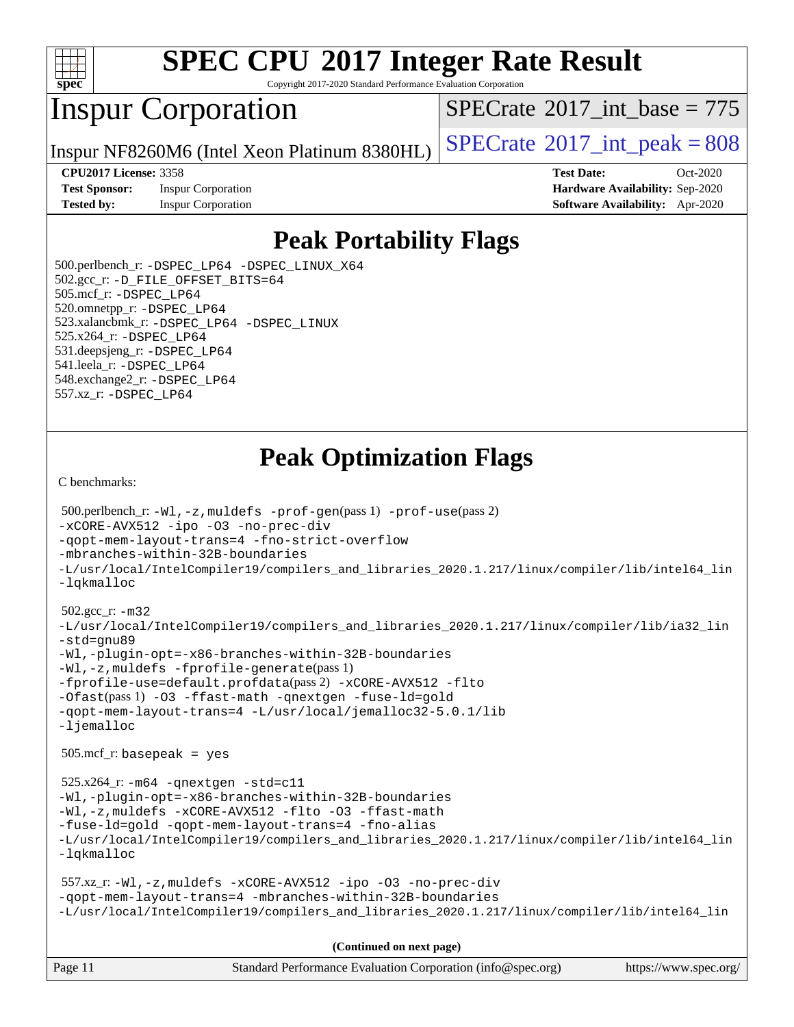

Copyright 2017-2020 Standard Performance Evaluation Corporation

# Inspur Corporation

 $SPECTate$ <sup>®</sup>[2017\\_int\\_base =](http://www.spec.org/auto/cpu2017/Docs/result-fields.html#SPECrate2017intbase) 775

Inspur NF8260M6 (Intel Xeon Platinum 8380HL)  $\left|$  [SPECrate](http://www.spec.org/auto/cpu2017/Docs/result-fields.html#SPECrate2017intpeak)<sup>®</sup>[2017\\_int\\_peak = 8](http://www.spec.org/auto/cpu2017/Docs/result-fields.html#SPECrate2017intpeak)08

**[Test Sponsor:](http://www.spec.org/auto/cpu2017/Docs/result-fields.html#TestSponsor)** Inspur Corporation **[Hardware Availability:](http://www.spec.org/auto/cpu2017/Docs/result-fields.html#HardwareAvailability)** Sep-2020

**[CPU2017 License:](http://www.spec.org/auto/cpu2017/Docs/result-fields.html#CPU2017License)** 3358 **[Test Date:](http://www.spec.org/auto/cpu2017/Docs/result-fields.html#TestDate)** Oct-2020 **[Tested by:](http://www.spec.org/auto/cpu2017/Docs/result-fields.html#Testedby)** Inspur Corporation **[Software Availability:](http://www.spec.org/auto/cpu2017/Docs/result-fields.html#SoftwareAvailability)** Apr-2020

### **[Peak Portability Flags](http://www.spec.org/auto/cpu2017/Docs/result-fields.html#PeakPortabilityFlags)**

 500.perlbench\_r: [-DSPEC\\_LP64](http://www.spec.org/cpu2017/results/res2020q4/cpu2017-20201027-24317.flags.html#b500.perlbench_r_peakPORTABILITY_DSPEC_LP64) [-DSPEC\\_LINUX\\_X64](http://www.spec.org/cpu2017/results/res2020q4/cpu2017-20201027-24317.flags.html#b500.perlbench_r_peakCPORTABILITY_DSPEC_LINUX_X64) 502.gcc\_r: [-D\\_FILE\\_OFFSET\\_BITS=64](http://www.spec.org/cpu2017/results/res2020q4/cpu2017-20201027-24317.flags.html#user_peakPORTABILITY502_gcc_r_file_offset_bits_64_5ae949a99b284ddf4e95728d47cb0843d81b2eb0e18bdfe74bbf0f61d0b064f4bda2f10ea5eb90e1dcab0e84dbc592acfc5018bc955c18609f94ddb8d550002c) 505.mcf\_r: [-DSPEC\\_LP64](http://www.spec.org/cpu2017/results/res2020q4/cpu2017-20201027-24317.flags.html#suite_peakPORTABILITY505_mcf_r_DSPEC_LP64) 520.omnetpp\_r: [-DSPEC\\_LP64](http://www.spec.org/cpu2017/results/res2020q4/cpu2017-20201027-24317.flags.html#suite_peakPORTABILITY520_omnetpp_r_DSPEC_LP64) 523.xalancbmk\_r: [-DSPEC\\_LP64](http://www.spec.org/cpu2017/results/res2020q4/cpu2017-20201027-24317.flags.html#suite_peakPORTABILITY523_xalancbmk_r_DSPEC_LP64) [-DSPEC\\_LINUX](http://www.spec.org/cpu2017/results/res2020q4/cpu2017-20201027-24317.flags.html#b523.xalancbmk_r_peakCXXPORTABILITY_DSPEC_LINUX) 525.x264\_r: [-DSPEC\\_LP64](http://www.spec.org/cpu2017/results/res2020q4/cpu2017-20201027-24317.flags.html#suite_peakPORTABILITY525_x264_r_DSPEC_LP64) 531.deepsjeng\_r: [-DSPEC\\_LP64](http://www.spec.org/cpu2017/results/res2020q4/cpu2017-20201027-24317.flags.html#suite_peakPORTABILITY531_deepsjeng_r_DSPEC_LP64) 541.leela\_r: [-DSPEC\\_LP64](http://www.spec.org/cpu2017/results/res2020q4/cpu2017-20201027-24317.flags.html#suite_peakPORTABILITY541_leela_r_DSPEC_LP64) 548.exchange2\_r: [-DSPEC\\_LP64](http://www.spec.org/cpu2017/results/res2020q4/cpu2017-20201027-24317.flags.html#suite_peakPORTABILITY548_exchange2_r_DSPEC_LP64) 557.xz\_r: [-DSPEC\\_LP64](http://www.spec.org/cpu2017/results/res2020q4/cpu2017-20201027-24317.flags.html#suite_peakPORTABILITY557_xz_r_DSPEC_LP64)

### **[Peak Optimization Flags](http://www.spec.org/auto/cpu2017/Docs/result-fields.html#PeakOptimizationFlags)**

[C benchmarks](http://www.spec.org/auto/cpu2017/Docs/result-fields.html#Cbenchmarks):

```
Page 11 Standard Performance Evaluation Corporation (info@spec.org) https://www.spec.org/
  500.perlbench_r: -Wl,-z,muldefs -prof-gen(pass 1) -prof-use(pass 2)
-xCORE-AVX512 -ipo -O3 -no-prec-div
-qopt-mem-layout-trans=4 -fno-strict-overflow
-mbranches-within-32B-boundaries
-L/usr/local/IntelCompiler19/compilers_and_libraries_2020.1.217/linux/compiler/lib/intel64_lin
-lqkmalloc
  502.gcc_r: -m32
-L/usr/local/IntelCompiler19/compilers_and_libraries_2020.1.217/linux/compiler/lib/ia32_lin
-std=gnu89
-Wl,-plugin-opt=-x86-branches-within-32B-boundaries
-Wl,-z,muldefs -fprofile-generate(pass 1)
-fprofile-use=default.profdata(pass 2) -xCORE-AVX512 -flto
-Ofast(pass 1) -O3 -ffast-math -qnextgen -fuse-ld=gold
-qopt-mem-layout-trans=4 -L/usr/local/jemalloc32-5.0.1/lib
-ljemalloc
  505.mcf_r: basepeak = yes
  525.x264_r: -m64 -qnextgen -std=c11
-Wl,-plugin-opt=-x86-branches-within-32B-boundaries
-Wl,-z,muldefs -xCORE-AVX512 -flto -O3 -ffast-math
-fuse-ld=gold -qopt-mem-layout-trans=4 -fno-alias
-L/usr/local/IntelCompiler19/compilers_and_libraries_2020.1.217/linux/compiler/lib/intel64_lin
-lqkmalloc
  557.xz_r: -Wl,-z,muldefs -xCORE-AVX512 -ipo -O3 -no-prec-div
-qopt-mem-layout-trans=4 -mbranches-within-32B-boundaries
-L/usr/local/IntelCompiler19/compilers_and_libraries_2020.1.217/linux/compiler/lib/intel64_lin
                                      (Continued on next page)
```